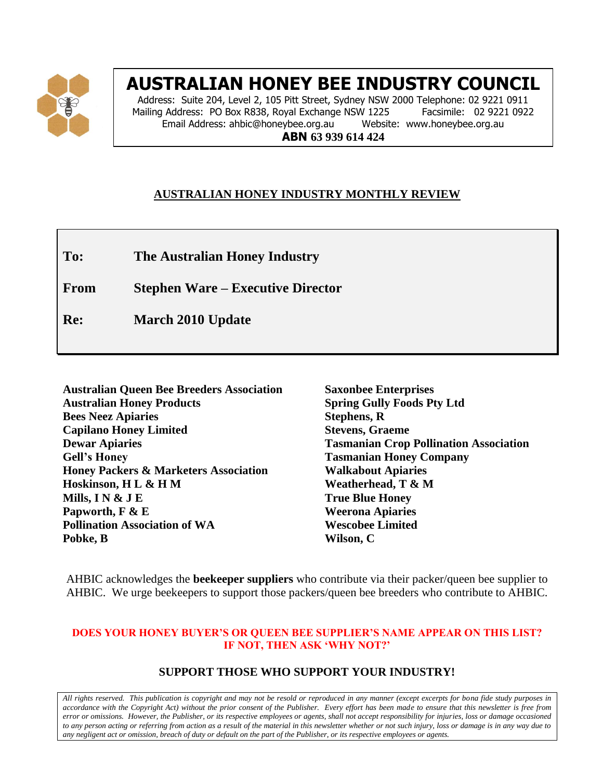

# **AUSTRALIAN HONEY BEE INDUSTRY COUNCIL**

Address: Suite 204, Level 2, 105 Pitt Street, Sydney NSW 2000 Telephone: 02 9221 0911 Mailing Address: PO Box R838, Royal Exchange NSW 1225 Facsimile: 02 9221 0922 Email Address: ahbic@honeybee.org.au Website: www.honeybee.org.au **ABN 63 939 614 424**

# **AUSTRALIAN HONEY INDUSTRY MONTHLY REVIEW**

**To: The Australian Honey Industry**

**From Stephen Ware – Executive Director**

**Re: March 2010 Update**

| <b>Australian Queen Bee Breeders Association</b> |
|--------------------------------------------------|
| <b>Australian Honey Products</b>                 |
| <b>Bees Neez Apiaries</b>                        |
| <b>Capilano Honey Limited</b>                    |
| <b>Dewar Apiaries</b>                            |
| <b>Gell's Honey</b>                              |
| <b>Honey Packers &amp; Marketers Association</b> |
| Hoskinson, H L & H M                             |
| Mills, I N $\&$ J E                              |
| Papworth, F & E                                  |
| <b>Pollination Association of WA</b>             |
| Pobke, B                                         |

**Saxonbee Enterprises Spring Gully Foods Pty Ltd Stephens, R Stevens, Graeme Tasmanian Crop Pollination Association Tasmanian Honey Company Walkabout Apiaries Weatherhead, T & M True Blue Honey Weerona Apiaries Wescobee Limited Wilson, C**

AHBIC acknowledges the **beekeeper suppliers** who contribute via their packer/queen bee supplier to AHBIC. We urge beekeepers to support those packers/queen bee breeders who contribute to AHBIC.

#### **DOES YOUR HONEY BUYER'S OR QUEEN BEE SUPPLIER'S NAME APPEAR ON THIS LIST? IF NOT, THEN ASK 'WHY NOT?'**

# **SUPPORT THOSE WHO SUPPORT YOUR INDUSTRY!**

*All rights reserved. This publication is copyright and may not be resold or reproduced in any manner (except excerpts for bona fide study purposes in accordance with the Copyright Act) without the prior consent of the Publisher. Every effort has been made to ensure that this newsletter is free from error or omissions. However, the Publisher, or its respective employees or agents, shall not accept responsibility for injuries, loss or damage occasioned to any person acting or referring from action as a result of the material in this newsletter whether or not such injury, loss or damage is in any way due to any negligent act or omission, breach of duty or default on the part of the Publisher, or its respective employees or agents.*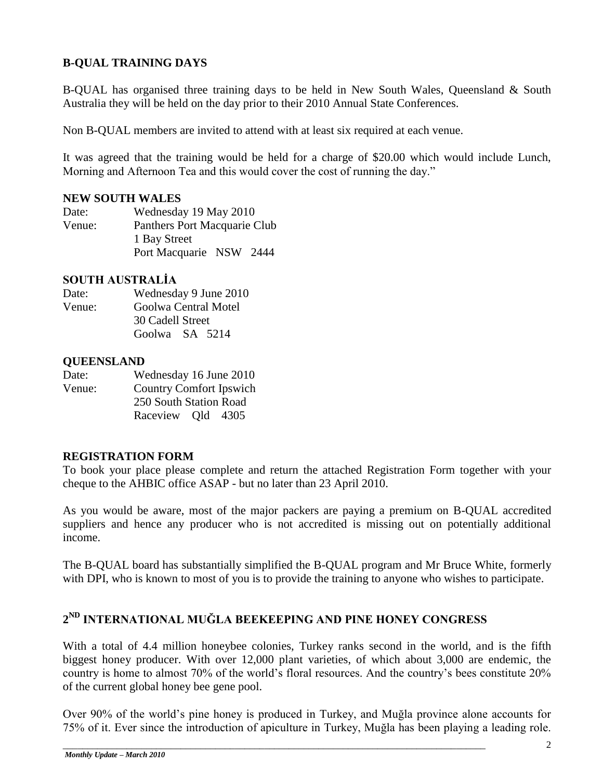# **B-QUAL TRAINING DAYS**

B-QUAL has organised three training days to be held in New South Wales, Queensland & South Australia they will be held on the day prior to their 2010 Annual State Conferences.

Non B-QUAL members are invited to attend with at least six required at each venue.

It was agreed that the training would be held for a charge of \$20.00 which would include Lunch, Morning and Afternoon Tea and this would cover the cost of running the day."

### **NEW SOUTH WALES**

| Date:  | Wednesday 19 May 2010        |      |
|--------|------------------------------|------|
| Venue: | Panthers Port Macquarie Club |      |
|        | 1 Bay Street                 |      |
|        | Port Macquarie NSW           | 2444 |

## **SOUTH AUSTRALİA**

| Date:  | Wednesday 9 June 2010 |  |  |
|--------|-----------------------|--|--|
| Venue: | Goolwa Central Motel  |  |  |
|        | 30 Cadell Street      |  |  |
|        | Goolwa SA 5214        |  |  |

### **QUEENSLAND**

| Date:                                    | Wednesday 16 June 2010 |  |  |
|------------------------------------------|------------------------|--|--|
| <b>Country Comfort Ipswich</b><br>Venue: |                        |  |  |
|                                          | 250 South Station Road |  |  |
|                                          | Raceview Old 4305      |  |  |

### **REGISTRATION FORM**

To book your place please complete and return the attached Registration Form together with your cheque to the AHBIC office ASAP - but no later than 23 April 2010.

As you would be aware, most of the major packers are paying a premium on B-QUAL accredited suppliers and hence any producer who is not accredited is missing out on potentially additional income.

The B-QUAL board has substantially simplified the B-QUAL program and Mr Bruce White, formerly with DPI, who is known to most of you is to provide the training to anyone who wishes to participate.

# **2 ND INTERNATIONAL MUĞLA BEEKEEPING AND PINE HONEY CONGRESS**

With a total of 4.4 million honeybee colonies, Turkey ranks second in the world, and is the fifth biggest honey producer. With over 12,000 plant varieties, of which about 3,000 are endemic, the country is home to almost 70% of the world"s floral resources. And the country"s bees constitute 20% of the current global honey bee gene pool.

Over 90% of the world"s pine honey is produced in Turkey, and Muğla province alone accounts for 75% of it. Ever since the introduction of apiculture in Turkey, Muğla has been playing a leading role.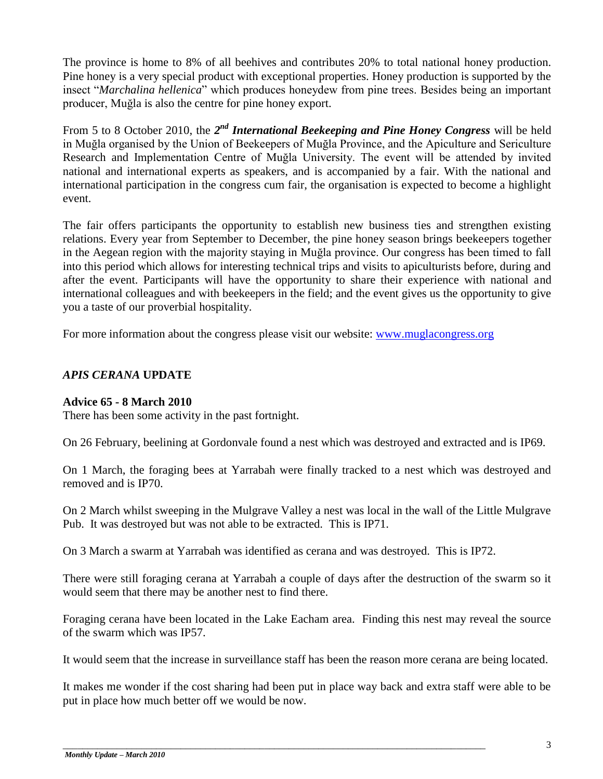The province is home to 8% of all beehives and contributes 20% to total national honey production. Pine honey is a very special product with exceptional properties. Honey production is supported by the insect "*Marchalina hellenica*" which produces honeydew from pine trees. Besides being an important producer, Muğla is also the centre for pine honey export.

From 5 to 8 October 2010, the 2<sup>nd</sup> *International Beekeeping and Pine Honey Congress* will be held in Muğla organised by the Union of Beekeepers of Muğla Province, and the Apiculture and Sericulture Research and Implementation Centre of Muğla University. The event will be attended by invited national and international experts as speakers, and is accompanied by a fair. With the national and international participation in the congress cum fair, the organisation is expected to become a highlight event.

The fair offers participants the opportunity to establish new business ties and strengthen existing relations. Every year from September to December, the pine honey season brings beekeepers together in the Aegean region with the majority staying in Muğla province. Our congress has been timed to fall into this period which allows for interesting technical trips and visits to apiculturists before, during and after the event. Participants will have the opportunity to share their experience with national and international colleagues and with beekeepers in the field; and the event gives us the opportunity to give you a taste of our proverbial hospitality.

For more information about the congress please visit our website: [www.muglacongress.org](http://www.muglacongress.org/)

# *APIS CERANA* **UPDATE**

## **Advice 65 - 8 March 2010**

There has been some activity in the past fortnight.

On 26 February, beelining at Gordonvale found a nest which was destroyed and extracted and is IP69.

On 1 March, the foraging bees at Yarrabah were finally tracked to a nest which was destroyed and removed and is IP70.

On 2 March whilst sweeping in the Mulgrave Valley a nest was local in the wall of the Little Mulgrave Pub. It was destroyed but was not able to be extracted. This is IP71.

On 3 March a swarm at Yarrabah was identified as cerana and was destroyed. This is IP72.

There were still foraging cerana at Yarrabah a couple of days after the destruction of the swarm so it would seem that there may be another nest to find there.

Foraging cerana have been located in the Lake Eacham area. Finding this nest may reveal the source of the swarm which was IP57.

It would seem that the increase in surveillance staff has been the reason more cerana are being located.

It makes me wonder if the cost sharing had been put in place way back and extra staff were able to be put in place how much better off we would be now.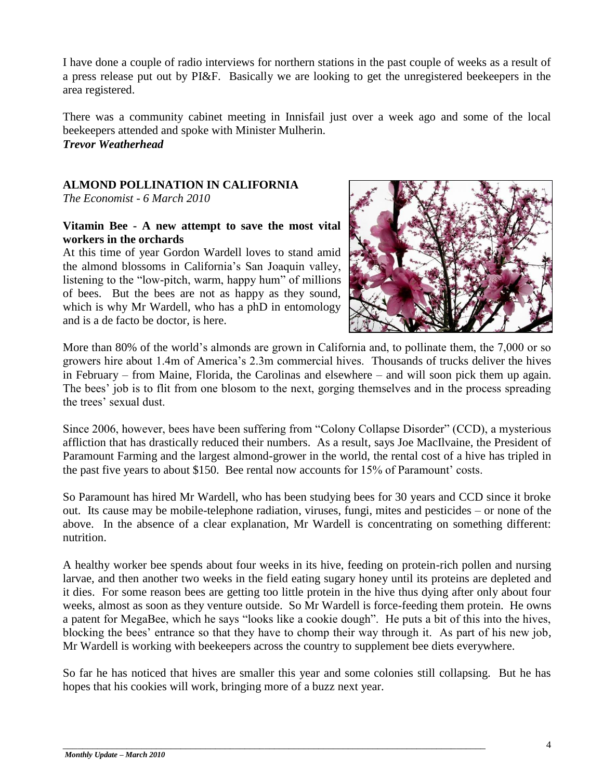I have done a couple of radio interviews for northern stations in the past couple of weeks as a result of a press release put out by PI&F. Basically we are looking to get the unregistered beekeepers in the area registered.

There was a community cabinet meeting in Innisfail just over a week ago and some of the local beekeepers attended and spoke with Minister Mulherin. *Trevor Weatherhead*

## **ALMOND POLLINATION IN CALIFORNIA**

*The Economist - 6 March 2010*

## **Vitamin Bee - A new attempt to save the most vital workers in the orchards**

At this time of year Gordon Wardell loves to stand amid the almond blossoms in California"s San Joaquin valley, listening to the "low-pitch, warm, happy hum" of millions of bees. But the bees are not as happy as they sound, which is why Mr Wardell, who has a phD in entomology and is a de facto be doctor, is here.



More than 80% of the world's almonds are grown in California and, to pollinate them, the 7,000 or so growers hire about 1.4m of America"s 2.3m commercial hives. Thousands of trucks deliver the hives in February – from Maine, Florida, the Carolinas and elsewhere – and will soon pick them up again. The bees' job is to flit from one blosom to the next, gorging themselves and in the process spreading the trees' sexual dust.

Since 2006, however, bees have been suffering from "Colony Collapse Disorder" (CCD), a mysterious affliction that has drastically reduced their numbers. As a result, says Joe MacIlvaine, the President of Paramount Farming and the largest almond-grower in the world, the rental cost of a hive has tripled in the past five years to about \$150. Bee rental now accounts for 15% of Paramount' costs.

So Paramount has hired Mr Wardell, who has been studying bees for 30 years and CCD since it broke out. Its cause may be mobile-telephone radiation, viruses, fungi, mites and pesticides – or none of the above. In the absence of a clear explanation, Mr Wardell is concentrating on something different: nutrition.

A healthy worker bee spends about four weeks in its hive, feeding on protein-rich pollen and nursing larvae, and then another two weeks in the field eating sugary honey until its proteins are depleted and it dies. For some reason bees are getting too little protein in the hive thus dying after only about four weeks, almost as soon as they venture outside. So Mr Wardell is force-feeding them protein. He owns a patent for MegaBee, which he says "looks like a cookie dough". He puts a bit of this into the hives, blocking the bees" entrance so that they have to chomp their way through it. As part of his new job, Mr Wardell is working with beekeepers across the country to supplement bee diets everywhere.

So far he has noticed that hives are smaller this year and some colonies still collapsing. But he has hopes that his cookies will work, bringing more of a buzz next year.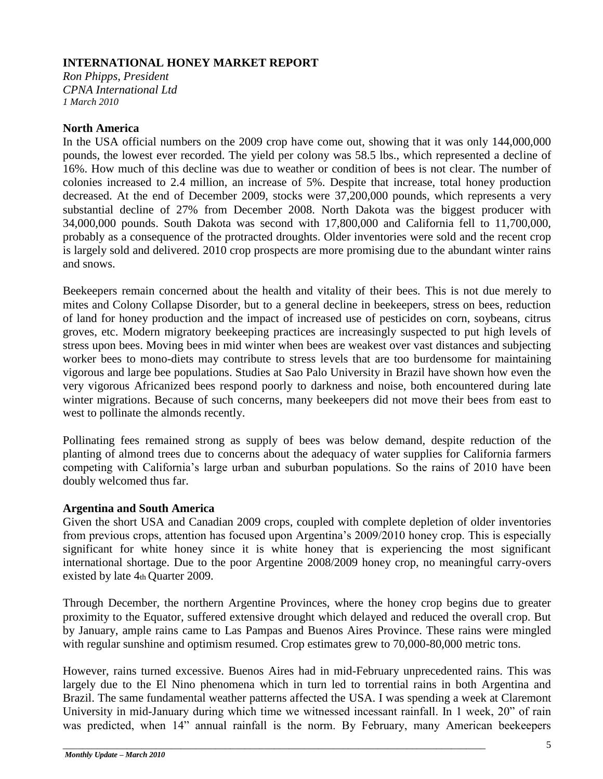## **INTERNATIONAL HONEY MARKET REPORT**

*Ron Phipps, President CPNA International Ltd 1 March 2010* 

## **North America**

In the USA official numbers on the 2009 crop have come out, showing that it was only 144,000,000 pounds, the lowest ever recorded. The yield per colony was 58.5 lbs., which represented a decline of 16%. How much of this decline was due to weather or condition of bees is not clear. The number of colonies increased to 2.4 million, an increase of 5%. Despite that increase, total honey production decreased. At the end of December 2009, stocks were 37,200,000 pounds, which represents a very substantial decline of 27% from December 2008. North Dakota was the biggest producer with 34,000,000 pounds. South Dakota was second with 17,800,000 and California fell to 11,700,000, probably as a consequence of the protracted droughts. Older inventories were sold and the recent crop is largely sold and delivered. 2010 crop prospects are more promising due to the abundant winter rains and snows.

Beekeepers remain concerned about the health and vitality of their bees. This is not due merely to mites and Colony Collapse Disorder, but to a general decline in beekeepers, stress on bees, reduction of land for honey production and the impact of increased use of pesticides on corn, soybeans, citrus groves, etc. Modern migratory beekeeping practices are increasingly suspected to put high levels of stress upon bees. Moving bees in mid winter when bees are weakest over vast distances and subjecting worker bees to mono-diets may contribute to stress levels that are too burdensome for maintaining vigorous and large bee populations. Studies at Sao Palo University in Brazil have shown how even the very vigorous Africanized bees respond poorly to darkness and noise, both encountered during late winter migrations. Because of such concerns, many beekeepers did not move their bees from east to west to pollinate the almonds recently.

Pollinating fees remained strong as supply of bees was below demand, despite reduction of the planting of almond trees due to concerns about the adequacy of water supplies for California farmers competing with California"s large urban and suburban populations. So the rains of 2010 have been doubly welcomed thus far.

## **Argentina and South America**

Given the short USA and Canadian 2009 crops, coupled with complete depletion of older inventories from previous crops, attention has focused upon Argentina"s 2009/2010 honey crop. This is especially significant for white honey since it is white honey that is experiencing the most significant international shortage. Due to the poor Argentine 2008/2009 honey crop, no meaningful carry-overs existed by late 4th Quarter 2009.

Through December, the northern Argentine Provinces, where the honey crop begins due to greater proximity to the Equator, suffered extensive drought which delayed and reduced the overall crop. But by January, ample rains came to Las Pampas and Buenos Aires Province. These rains were mingled with regular sunshine and optimism resumed. Crop estimates grew to 70,000-80,000 metric tons.

However, rains turned excessive. Buenos Aires had in mid-February unprecedented rains. This was largely due to the El Nino phenomena which in turn led to torrential rains in both Argentina and Brazil. The same fundamental weather patterns affected the USA. I was spending a week at Claremont University in mid-January during which time we witnessed incessant rainfall. In 1 week, 20" of rain was predicted, when 14" annual rainfall is the norm. By February, many American beekeepers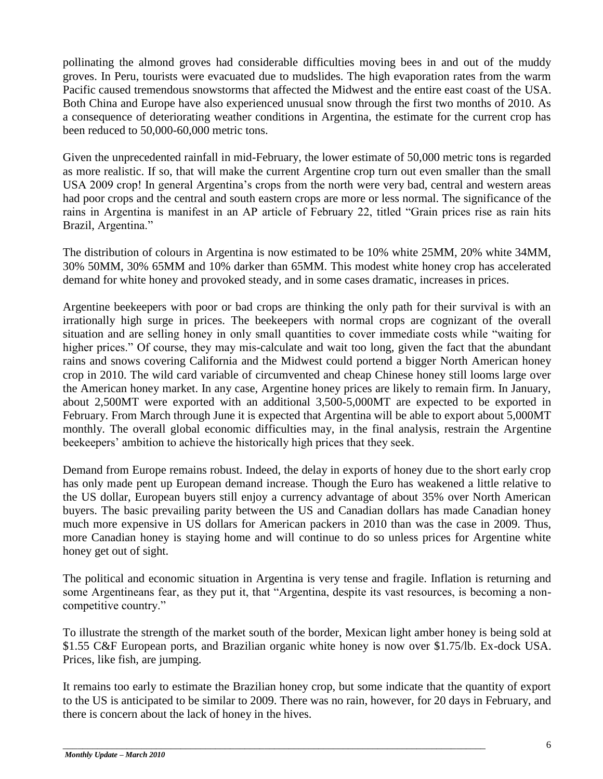pollinating the almond groves had considerable difficulties moving bees in and out of the muddy groves. In Peru, tourists were evacuated due to mudslides. The high evaporation rates from the warm Pacific caused tremendous snowstorms that affected the Midwest and the entire east coast of the USA. Both China and Europe have also experienced unusual snow through the first two months of 2010. As a consequence of deteriorating weather conditions in Argentina, the estimate for the current crop has been reduced to 50,000-60,000 metric tons.

Given the unprecedented rainfall in mid-February, the lower estimate of 50,000 metric tons is regarded as more realistic. If so, that will make the current Argentine crop turn out even smaller than the small USA 2009 crop! In general Argentina"s crops from the north were very bad, central and western areas had poor crops and the central and south eastern crops are more or less normal. The significance of the rains in Argentina is manifest in an AP article of February 22, titled "Grain prices rise as rain hits Brazil, Argentina."

The distribution of colours in Argentina is now estimated to be 10% white 25MM, 20% white 34MM, 30% 50MM, 30% 65MM and 10% darker than 65MM. This modest white honey crop has accelerated demand for white honey and provoked steady, and in some cases dramatic, increases in prices.

Argentine beekeepers with poor or bad crops are thinking the only path for their survival is with an irrationally high surge in prices. The beekeepers with normal crops are cognizant of the overall situation and are selling honey in only small quantities to cover immediate costs while "waiting for higher prices." Of course, they may mis-calculate and wait too long, given the fact that the abundant rains and snows covering California and the Midwest could portend a bigger North American honey crop in 2010. The wild card variable of circumvented and cheap Chinese honey still looms large over the American honey market. In any case, Argentine honey prices are likely to remain firm. In January, about 2,500MT were exported with an additional 3,500-5,000MT are expected to be exported in February. From March through June it is expected that Argentina will be able to export about 5,000MT monthly. The overall global economic difficulties may, in the final analysis, restrain the Argentine beekeepers" ambition to achieve the historically high prices that they seek.

Demand from Europe remains robust. Indeed, the delay in exports of honey due to the short early crop has only made pent up European demand increase. Though the Euro has weakened a little relative to the US dollar, European buyers still enjoy a currency advantage of about 35% over North American buyers. The basic prevailing parity between the US and Canadian dollars has made Canadian honey much more expensive in US dollars for American packers in 2010 than was the case in 2009. Thus, more Canadian honey is staying home and will continue to do so unless prices for Argentine white honey get out of sight.

The political and economic situation in Argentina is very tense and fragile. Inflation is returning and some Argentineans fear, as they put it, that "Argentina, despite its vast resources, is becoming a noncompetitive country."

To illustrate the strength of the market south of the border, Mexican light amber honey is being sold at \$1.55 C&F European ports, and Brazilian organic white honey is now over \$1.75/lb. Ex-dock USA. Prices, like fish, are jumping.

It remains too early to estimate the Brazilian honey crop, but some indicate that the quantity of export to the US is anticipated to be similar to 2009. There was no rain, however, for 20 days in February, and there is concern about the lack of honey in the hives.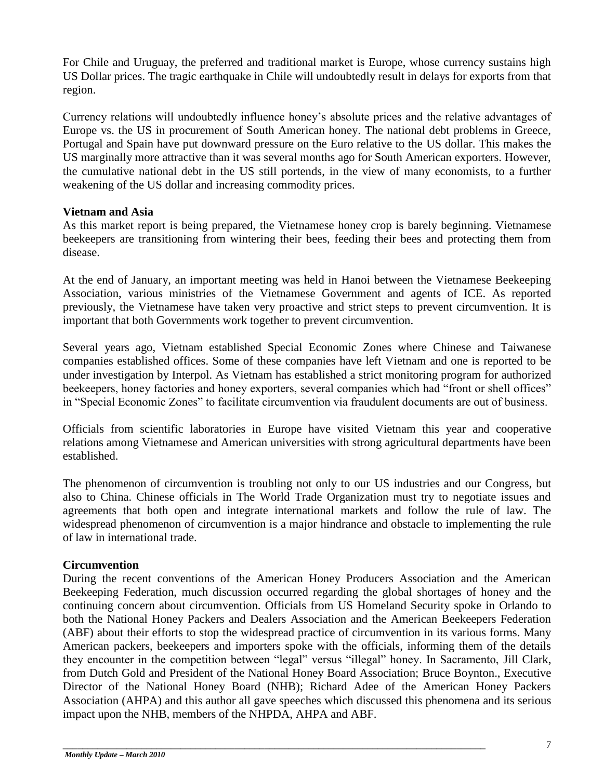For Chile and Uruguay, the preferred and traditional market is Europe, whose currency sustains high US Dollar prices. The tragic earthquake in Chile will undoubtedly result in delays for exports from that region.

Currency relations will undoubtedly influence honey"s absolute prices and the relative advantages of Europe vs. the US in procurement of South American honey. The national debt problems in Greece, Portugal and Spain have put downward pressure on the Euro relative to the US dollar. This makes the US marginally more attractive than it was several months ago for South American exporters. However, the cumulative national debt in the US still portends, in the view of many economists, to a further weakening of the US dollar and increasing commodity prices.

## **Vietnam and Asia**

As this market report is being prepared, the Vietnamese honey crop is barely beginning. Vietnamese beekeepers are transitioning from wintering their bees, feeding their bees and protecting them from disease.

At the end of January, an important meeting was held in Hanoi between the Vietnamese Beekeeping Association, various ministries of the Vietnamese Government and agents of ICE. As reported previously, the Vietnamese have taken very proactive and strict steps to prevent circumvention. It is important that both Governments work together to prevent circumvention.

Several years ago, Vietnam established Special Economic Zones where Chinese and Taiwanese companies established offices. Some of these companies have left Vietnam and one is reported to be under investigation by Interpol. As Vietnam has established a strict monitoring program for authorized beekeepers, honey factories and honey exporters, several companies which had "front or shell offices" in "Special Economic Zones" to facilitate circumvention via fraudulent documents are out of business.

Officials from scientific laboratories in Europe have visited Vietnam this year and cooperative relations among Vietnamese and American universities with strong agricultural departments have been established.

The phenomenon of circumvention is troubling not only to our US industries and our Congress, but also to China. Chinese officials in The World Trade Organization must try to negotiate issues and agreements that both open and integrate international markets and follow the rule of law. The widespread phenomenon of circumvention is a major hindrance and obstacle to implementing the rule of law in international trade.

## **Circumvention**

During the recent conventions of the American Honey Producers Association and the American Beekeeping Federation, much discussion occurred regarding the global shortages of honey and the continuing concern about circumvention. Officials from US Homeland Security spoke in Orlando to both the National Honey Packers and Dealers Association and the American Beekeepers Federation (ABF) about their efforts to stop the widespread practice of circumvention in its various forms. Many American packers, beekeepers and importers spoke with the officials, informing them of the details they encounter in the competition between "legal" versus "illegal" honey. In Sacramento, Jill Clark, from Dutch Gold and President of the National Honey Board Association; Bruce Boynton., Executive Director of the National Honey Board (NHB); Richard Adee of the American Honey Packers Association (AHPA) and this author all gave speeches which discussed this phenomena and its serious impact upon the NHB, members of the NHPDA, AHPA and ABF.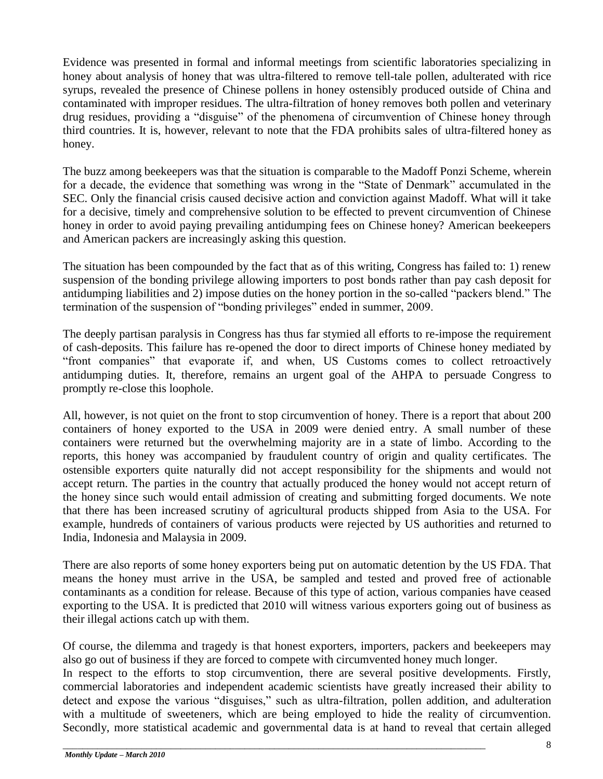Evidence was presented in formal and informal meetings from scientific laboratories specializing in honey about analysis of honey that was ultra-filtered to remove tell-tale pollen, adulterated with rice syrups, revealed the presence of Chinese pollens in honey ostensibly produced outside of China and contaminated with improper residues. The ultra-filtration of honey removes both pollen and veterinary drug residues, providing a "disguise" of the phenomena of circumvention of Chinese honey through third countries. It is, however, relevant to note that the FDA prohibits sales of ultra-filtered honey as honey.

The buzz among beekeepers was that the situation is comparable to the Madoff Ponzi Scheme, wherein for a decade, the evidence that something was wrong in the "State of Denmark" accumulated in the SEC. Only the financial crisis caused decisive action and conviction against Madoff. What will it take for a decisive, timely and comprehensive solution to be effected to prevent circumvention of Chinese honey in order to avoid paying prevailing antidumping fees on Chinese honey? American beekeepers and American packers are increasingly asking this question.

The situation has been compounded by the fact that as of this writing, Congress has failed to: 1) renew suspension of the bonding privilege allowing importers to post bonds rather than pay cash deposit for antidumping liabilities and 2) impose duties on the honey portion in the so-called "packers blend." The termination of the suspension of "bonding privileges" ended in summer, 2009.

The deeply partisan paralysis in Congress has thus far stymied all efforts to re-impose the requirement of cash-deposits. This failure has re-opened the door to direct imports of Chinese honey mediated by "front companies" that evaporate if, and when, US Customs comes to collect retroactively antidumping duties. It, therefore, remains an urgent goal of the AHPA to persuade Congress to promptly re-close this loophole.

All, however, is not quiet on the front to stop circumvention of honey. There is a report that about 200 containers of honey exported to the USA in 2009 were denied entry. A small number of these containers were returned but the overwhelming majority are in a state of limbo. According to the reports, this honey was accompanied by fraudulent country of origin and quality certificates. The ostensible exporters quite naturally did not accept responsibility for the shipments and would not accept return. The parties in the country that actually produced the honey would not accept return of the honey since such would entail admission of creating and submitting forged documents. We note that there has been increased scrutiny of agricultural products shipped from Asia to the USA. For example, hundreds of containers of various products were rejected by US authorities and returned to India, Indonesia and Malaysia in 2009.

There are also reports of some honey exporters being put on automatic detention by the US FDA. That means the honey must arrive in the USA, be sampled and tested and proved free of actionable contaminants as a condition for release. Because of this type of action, various companies have ceased exporting to the USA. It is predicted that 2010 will witness various exporters going out of business as their illegal actions catch up with them.

Of course, the dilemma and tragedy is that honest exporters, importers, packers and beekeepers may also go out of business if they are forced to compete with circumvented honey much longer.

In respect to the efforts to stop circumvention, there are several positive developments. Firstly, commercial laboratories and independent academic scientists have greatly increased their ability to detect and expose the various "disguises," such as ultra-filtration, pollen addition, and adulteration with a multitude of sweeteners, which are being employed to hide the reality of circumvention. Secondly, more statistical academic and governmental data is at hand to reveal that certain alleged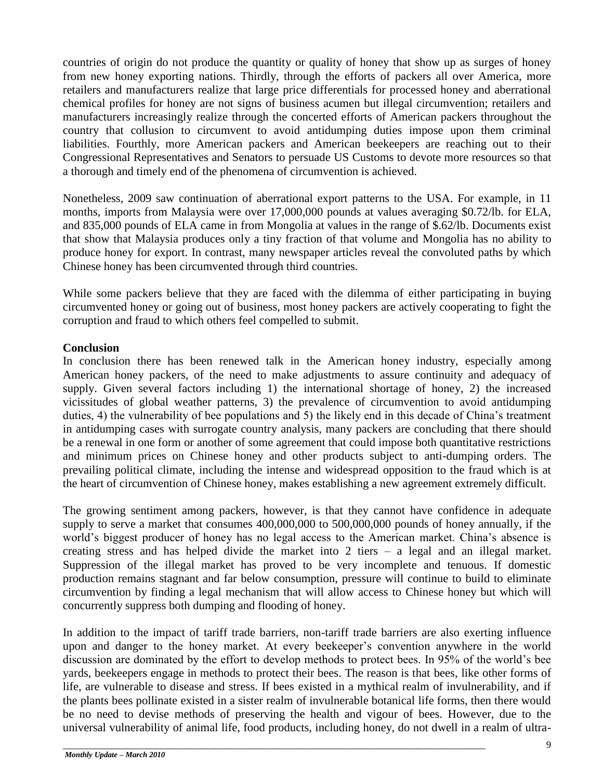countries of origin do not produce the quantity or quality of honey that show up as surges of honey from new honey exporting nations. Thirdly, through the efforts of packers all over America, more retailers and manufacturers realize that large price differentials for processed honey and aberrational chemical profiles for honey are not signs of business acumen but illegal circumvention; retailers and manufacturers increasingly realize through the concerted efforts of American packers throughout the country that collusion to circumvent to avoid antidumping duties impose upon them criminal liabilities. Fourthly, more American packers and American beekeepers are reaching out to their Congressional Representatives and Senators to persuade US Customs to devote more resources so that a thorough and timely end of the phenomena of circumvention is achieved.

Nonetheless, 2009 saw continuation of aberrational export patterns to the USA. For example, in 11 months, imports from Malaysia were over 17,000,000 pounds at values averaging \$0.72/lb. for ELA, and 835,000 pounds of ELA came in from Mongolia at values in the range of \$.62/lb. Documents exist that show that Malaysia produces only a tiny fraction of that volume and Mongolia has no ability to produce honey for export. In contrast, many newspaper articles reveal the convoluted paths by which Chinese honey has been circumvented through third countries.

While some packers believe that they are faced with the dilemma of either participating in buying circumvented honey or going out of business, most honey packers are actively cooperating to fight the corruption and fraud to which others feel compelled to submit.

## **Conclusion**

In conclusion there has been renewed talk in the American honey industry, especially among American honey packers, of the need to make adjustments to assure continuity and adequacy of supply. Given several factors including 1) the international shortage of honey, 2) the increased vicissitudes of global weather patterns, 3) the prevalence of circumvention to avoid antidumping duties, 4) the vulnerability of bee populations and 5) the likely end in this decade of China's treatment in antidumping cases with surrogate country analysis, many packers are concluding that there should be a renewal in one form or another of some agreement that could impose both quantitative restrictions and minimum prices on Chinese honey and other products subject to anti-dumping orders. The prevailing political climate, including the intense and widespread opposition to the fraud which is at the heart of circumvention of Chinese honey, makes establishing a new agreement extremely difficult.

The growing sentiment among packers, however, is that they cannot have confidence in adequate supply to serve a market that consumes 400,000,000 to 500,000,000 pounds of honey annually, if the world"s biggest producer of honey has no legal access to the American market. China"s absence is creating stress and has helped divide the market into 2 tiers – a legal and an illegal market. Suppression of the illegal market has proved to be very incomplete and tenuous. If domestic production remains stagnant and far below consumption, pressure will continue to build to eliminate circumvention by finding a legal mechanism that will allow access to Chinese honey but which will concurrently suppress both dumping and flooding of honey.

In addition to the impact of tariff trade barriers, non-tariff trade barriers are also exerting influence upon and danger to the honey market. At every beekeeper"s convention anywhere in the world discussion are dominated by the effort to develop methods to protect bees. In 95% of the world"s bee yards, beekeepers engage in methods to protect their bees. The reason is that bees, like other forms of life, are vulnerable to disease and stress. If bees existed in a mythical realm of invulnerability, and if the plants bees pollinate existed in a sister realm of invulnerable botanical life forms, then there would be no need to devise methods of preserving the health and vigour of bees. However, due to the universal vulnerability of animal life, food products, including honey, do not dwell in a realm of ultra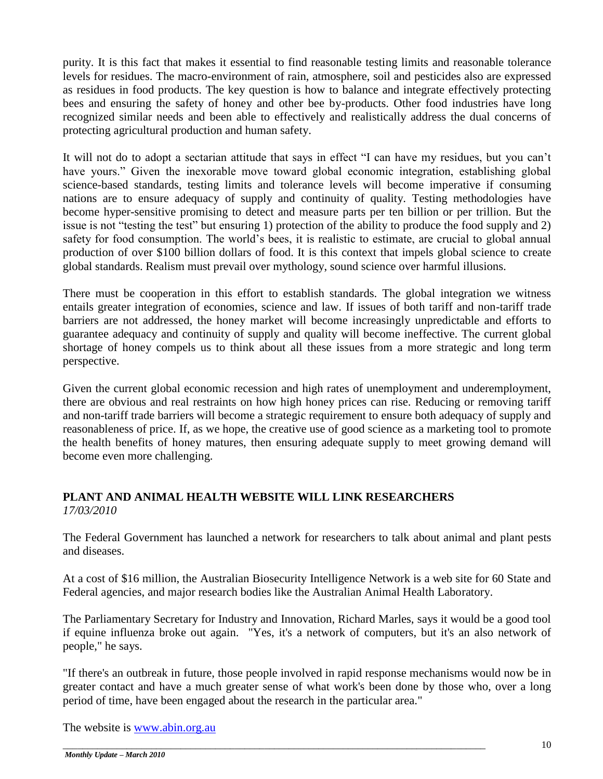purity. It is this fact that makes it essential to find reasonable testing limits and reasonable tolerance levels for residues. The macro-environment of rain, atmosphere, soil and pesticides also are expressed as residues in food products. The key question is how to balance and integrate effectively protecting bees and ensuring the safety of honey and other bee by-products. Other food industries have long recognized similar needs and been able to effectively and realistically address the dual concerns of protecting agricultural production and human safety.

It will not do to adopt a sectarian attitude that says in effect "I can have my residues, but you can"t have yours." Given the inexorable move toward global economic integration, establishing global science-based standards, testing limits and tolerance levels will become imperative if consuming nations are to ensure adequacy of supply and continuity of quality. Testing methodologies have become hyper-sensitive promising to detect and measure parts per ten billion or per trillion. But the issue is not "testing the test" but ensuring 1) protection of the ability to produce the food supply and 2) safety for food consumption. The world"s bees, it is realistic to estimate, are crucial to global annual production of over \$100 billion dollars of food. It is this context that impels global science to create global standards. Realism must prevail over mythology, sound science over harmful illusions.

There must be cooperation in this effort to establish standards. The global integration we witness entails greater integration of economies, science and law. If issues of both tariff and non-tariff trade barriers are not addressed, the honey market will become increasingly unpredictable and efforts to guarantee adequacy and continuity of supply and quality will become ineffective. The current global shortage of honey compels us to think about all these issues from a more strategic and long term perspective.

Given the current global economic recession and high rates of unemployment and underemployment, there are obvious and real restraints on how high honey prices can rise. Reducing or removing tariff and non-tariff trade barriers will become a strategic requirement to ensure both adequacy of supply and reasonableness of price. If, as we hope, the creative use of good science as a marketing tool to promote the health benefits of honey matures, then ensuring adequate supply to meet growing demand will become even more challenging.

# **PLANT AND ANIMAL HEALTH WEBSITE WILL LINK RESEARCHERS** *17/03/2010*

The Federal Government has launched a network for researchers to talk about animal and plant pests and diseases.

At a cost of \$16 million, the Australian Biosecurity Intelligence Network is a web site for 60 State and Federal agencies, and major research bodies like the Australian Animal Health Laboratory.

The Parliamentary Secretary for Industry and Innovation, Richard Marles, says it would be a good tool if equine influenza broke out again. "Yes, it's a network of computers, but it's an also network of people," he says.

"If there's an outbreak in future, those people involved in rapid response mechanisms would now be in greater contact and have a much greater sense of what work's been done by those who, over a long period of time, have been engaged about the research in the particular area."

The website is [www.abin.org.au](http://www.abin.org.au/)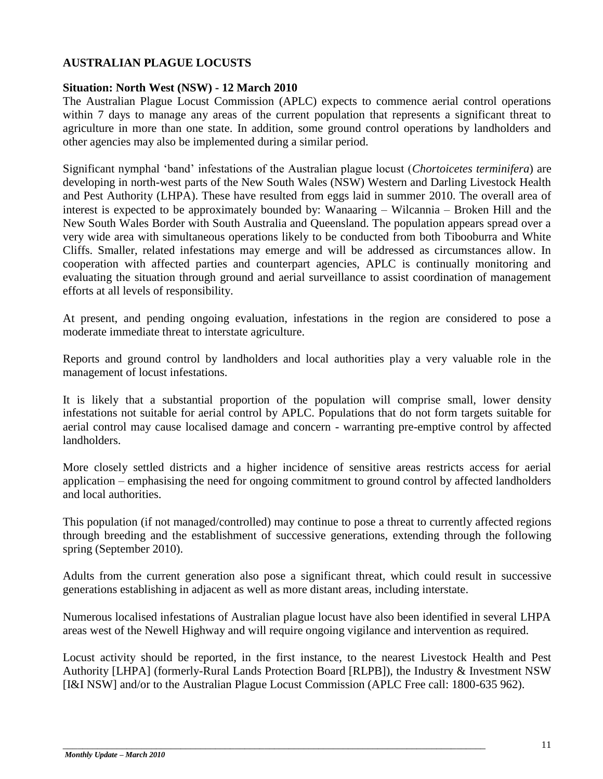# **AUSTRALIAN PLAGUE LOCUSTS**

## **Situation: North West (NSW) - 12 March 2010**

The Australian Plague Locust Commission (APLC) expects to commence aerial control operations within 7 days to manage any areas of the current population that represents a significant threat to agriculture in more than one state. In addition, some ground control operations by landholders and other agencies may also be implemented during a similar period.

Significant nymphal "band" infestations of the Australian plague locust (*Chortoicetes terminifera*) are developing in north-west parts of the New South Wales (NSW) Western and Darling Livestock Health and Pest Authority (LHPA). These have resulted from eggs laid in summer 2010. The overall area of interest is expected to be approximately bounded by: Wanaaring – Wilcannia – Broken Hill and the New South Wales Border with South Australia and Queensland. The population appears spread over a very wide area with simultaneous operations likely to be conducted from both Tibooburra and White Cliffs. Smaller, related infestations may emerge and will be addressed as circumstances allow. In cooperation with affected parties and counterpart agencies, APLC is continually monitoring and evaluating the situation through ground and aerial surveillance to assist coordination of management efforts at all levels of responsibility.

At present, and pending ongoing evaluation, infestations in the region are considered to pose a moderate immediate threat to interstate agriculture.

Reports and ground control by landholders and local authorities play a very valuable role in the management of locust infestations.

It is likely that a substantial proportion of the population will comprise small, lower density infestations not suitable for aerial control by APLC. Populations that do not form targets suitable for aerial control may cause localised damage and concern - warranting pre-emptive control by affected landholders.

More closely settled districts and a higher incidence of sensitive areas restricts access for aerial application – emphasising the need for ongoing commitment to ground control by affected landholders and local authorities.

This population (if not managed/controlled) may continue to pose a threat to currently affected regions through breeding and the establishment of successive generations, extending through the following spring (September 2010).

Adults from the current generation also pose a significant threat, which could result in successive generations establishing in adjacent as well as more distant areas, including interstate.

Numerous localised infestations of Australian plague locust have also been identified in several LHPA areas west of the Newell Highway and will require ongoing vigilance and intervention as required.

Locust activity should be reported, in the first instance, to the nearest Livestock Health and Pest Authority [LHPA] (formerly-Rural Lands Protection Board [RLPB]), the Industry & Investment NSW [I&I NSW] and/or to the Australian Plague Locust Commission (APLC Free call: 1800-635 962).

\_\_\_\_\_\_\_\_\_\_\_\_\_\_\_\_\_\_\_\_\_\_\_\_\_\_\_\_\_\_\_\_\_\_\_\_\_\_\_\_\_\_\_\_\_\_\_\_\_\_\_\_\_\_\_\_\_\_\_\_\_\_\_\_\_\_\_\_\_\_\_\_\_\_\_\_\_\_\_\_\_\_\_\_\_\_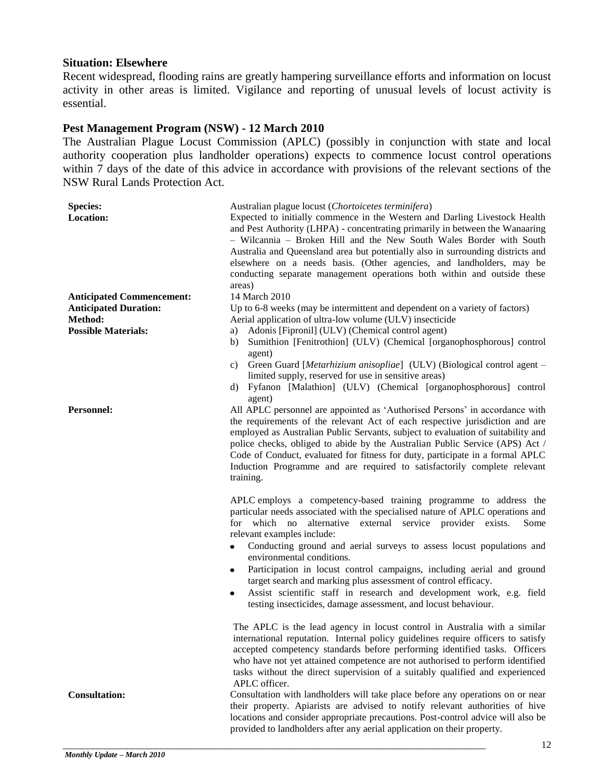## **Situation: Elsewhere**

Recent widespread, flooding rains are greatly hampering surveillance efforts and information on locust activity in other areas is limited. Vigilance and reporting of unusual levels of locust activity is essential.

## **Pest Management Program (NSW) - 12 March 2010**

The Australian Plague Locust Commission (APLC) (possibly in conjunction with state and local authority cooperation plus landholder operations) expects to commence locust control operations within 7 days of the date of this advice in accordance with provisions of the relevant sections of the NSW Rural Lands Protection Act.

| <b>Species:</b>                  | Australian plague locust (Chortoicetes terminifera)                                                                                                                                                                                                                                                                                                                                                                                                                                                                                                                                                                                                                                                                                                                  |  |
|----------------------------------|----------------------------------------------------------------------------------------------------------------------------------------------------------------------------------------------------------------------------------------------------------------------------------------------------------------------------------------------------------------------------------------------------------------------------------------------------------------------------------------------------------------------------------------------------------------------------------------------------------------------------------------------------------------------------------------------------------------------------------------------------------------------|--|
| Location:                        | Expected to initially commence in the Western and Darling Livestock Health<br>and Pest Authority (LHPA) - concentrating primarily in between the Wanaaring<br>- Wilcannia - Broken Hill and the New South Wales Border with South<br>Australia and Queensland area but potentially also in surrounding districts and<br>elsewhere on a needs basis. (Other agencies, and landholders, may be<br>conducting separate management operations both within and outside these<br>areas)                                                                                                                                                                                                                                                                                    |  |
| <b>Anticipated Commencement:</b> | 14 March 2010                                                                                                                                                                                                                                                                                                                                                                                                                                                                                                                                                                                                                                                                                                                                                        |  |
| <b>Anticipated Duration:</b>     | Up to 6-8 weeks (may be intermittent and dependent on a variety of factors)                                                                                                                                                                                                                                                                                                                                                                                                                                                                                                                                                                                                                                                                                          |  |
| Method:                          | Aerial application of ultra-low volume (ULV) insecticide                                                                                                                                                                                                                                                                                                                                                                                                                                                                                                                                                                                                                                                                                                             |  |
| <b>Possible Materials:</b>       | Adonis [Fipronil] (ULV) (Chemical control agent)<br>a)                                                                                                                                                                                                                                                                                                                                                                                                                                                                                                                                                                                                                                                                                                               |  |
|                                  | Sumithion [Fenitrothion] (ULV) (Chemical [organophosphorous] control<br>b)<br>agent)<br>Green Guard [Metarhizium anisopliae] (ULV) (Biological control agent -<br>C)<br>limited supply, reserved for use in sensitive areas)<br>Fyfanon [Malathion] (ULV) (Chemical [organophosphorous] control<br>d)<br>agent)                                                                                                                                                                                                                                                                                                                                                                                                                                                      |  |
| <b>Personnel:</b>                | All APLC personnel are appointed as 'Authorised Persons' in accordance with<br>the requirements of the relevant Act of each respective jurisdiction and are<br>employed as Australian Public Servants, subject to evaluation of suitability and<br>police checks, obliged to abide by the Australian Public Service (APS) Act /<br>Code of Conduct, evaluated for fitness for duty, participate in a formal APLC<br>Induction Programme and are required to satisfactorily complete relevant<br>training.                                                                                                                                                                                                                                                            |  |
|                                  | APLC employs a competency-based training programme to address the<br>particular needs associated with the specialised nature of APLC operations and<br>alternative external service provider exists.<br>for which no<br>Some<br>relevant examples include:<br>Conducting ground and aerial surveys to assess locust populations and<br>$\bullet$<br>environmental conditions.<br>Participation in locust control campaigns, including aerial and ground<br>٠<br>target search and marking plus assessment of control efficacy.<br>Assist scientific staff in research and development work, e.g. field<br>٠<br>testing insecticides, damage assessment, and locust behaviour.                                                                                        |  |
| <b>Consultation:</b>             | The APLC is the lead agency in locust control in Australia with a similar<br>international reputation. Internal policy guidelines require officers to satisfy<br>accepted competency standards before performing identified tasks. Officers<br>who have not yet attained competence are not authorised to perform identified<br>tasks without the direct supervision of a suitably qualified and experienced<br>APLC officer.<br>Consultation with landholders will take place before any operations on or near<br>their property. Apiarists are advised to notify relevant authorities of hive<br>locations and consider appropriate precautions. Post-control advice will also be<br>provided to landholders after any aerial application on their property.<br>1' |  |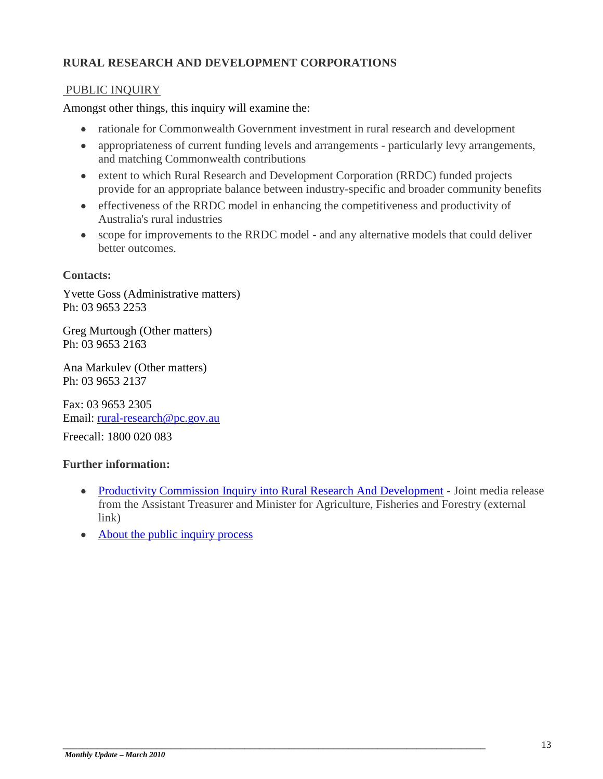# **RURAL RESEARCH AND DEVELOPMENT CORPORATIONS**

## PUBLIC INQUIRY

Amongst other things, this inquiry will examine the:

- rationale for Commonwealth Government investment in rural research and development
- appropriateness of current funding levels and arrangements particularly levy arrangements, and matching Commonwealth contributions
- extent to which Rural Research and Development Corporation (RRDC) funded projects provide for an appropriate balance between industry-specific and broader community benefits
- effectiveness of the RRDC model in enhancing the competitiveness and productivity of Australia's rural industries
- scope for improvements to the RRDC model and any alternative models that could deliver better outcomes.

### **Contacts:**

Yvette Goss (Administrative matters) Ph: 03 9653 2253

Greg Murtough (Other matters) Ph: 03 9653 2163

Ana Markulev (Other matters) Ph: 03 9653 2137

Fax: 03 9653 2305 Email: [rural-research@pc.gov.au](mailto:rural-research@pc.gov.au)

Freecall: 1800 020 083

### **Further information:**

- [Productivity Commission Inquiry into Rural Research And Development](http://ministers.treasury.gov.au/DisplayDocs.aspx?doc=pressreleases/2010/025.htm&pageID=003&min=njsa&Year=&DocType) Joint media release from the Assistant Treasurer and Minister for Agriculture, Fisheries and Forestry (external link)
- [About the public inquiry process](http://www.pc.gov.au/about-us/inquiryprocess)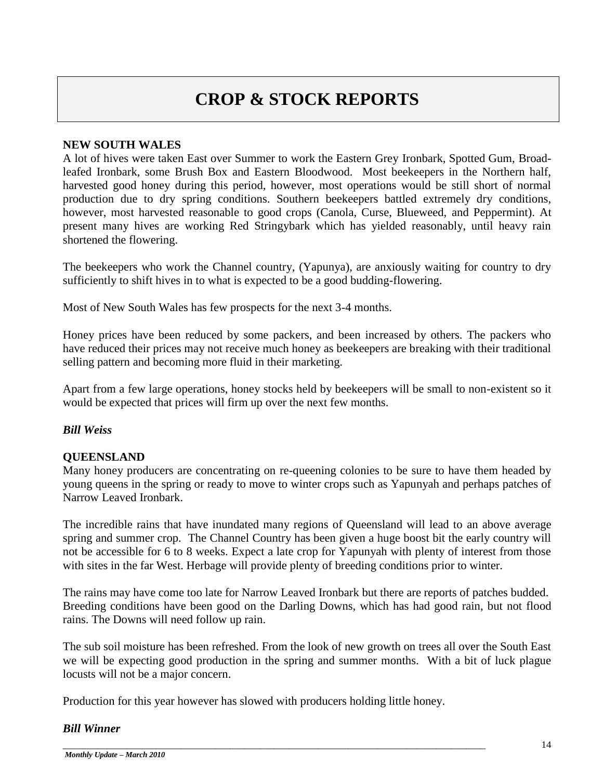# **CROP & STOCK REPORTS**

## **NEW SOUTH WALES**

A lot of hives were taken East over Summer to work the Eastern Grey Ironbark, Spotted Gum, Broadleafed Ironbark, some Brush Box and Eastern Bloodwood. Most beekeepers in the Northern half, harvested good honey during this period, however, most operations would be still short of normal production due to dry spring conditions. Southern beekeepers battled extremely dry conditions, however, most harvested reasonable to good crops (Canola, Curse, Blueweed, and Peppermint). At present many hives are working Red Stringybark which has yielded reasonably, until heavy rain shortened the flowering.

The beekeepers who work the Channel country, (Yapunya), are anxiously waiting for country to dry sufficiently to shift hives in to what is expected to be a good budding-flowering.

Most of New South Wales has few prospects for the next 3-4 months.

Honey prices have been reduced by some packers, and been increased by others. The packers who have reduced their prices may not receive much honey as beekeepers are breaking with their traditional selling pattern and becoming more fluid in their marketing.

Apart from a few large operations, honey stocks held by beekeepers will be small to non-existent so it would be expected that prices will firm up over the next few months.

## *Bill Weiss*

### **QUEENSLAND**

Many honey producers are concentrating on re-queening colonies to be sure to have them headed by young queens in the spring or ready to move to winter crops such as Yapunyah and perhaps patches of Narrow Leaved Ironbark.

The incredible rains that have inundated many regions of Queensland will lead to an above average spring and summer crop. The Channel Country has been given a huge boost bit the early country will not be accessible for 6 to 8 weeks. Expect a late crop for Yapunyah with plenty of interest from those with sites in the far West. Herbage will provide plenty of breeding conditions prior to winter.

The rains may have come too late for Narrow Leaved Ironbark but there are reports of patches budded. Breeding conditions have been good on the Darling Downs, which has had good rain, but not flood rains. The Downs will need follow up rain.

The sub soil moisture has been refreshed. From the look of new growth on trees all over the South East we will be expecting good production in the spring and summer months. With a bit of luck plague locusts will not be a major concern.

Production for this year however has slowed with producers holding little honey.

### *Bill Winner*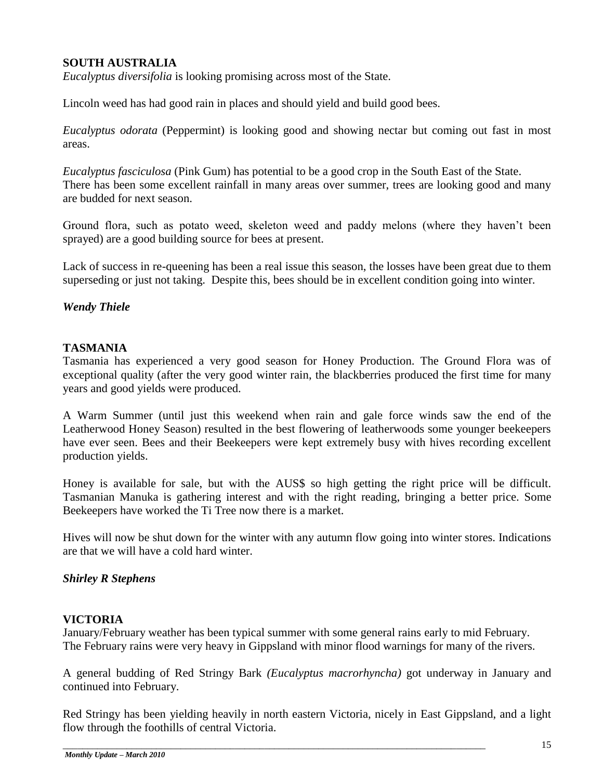# **SOUTH AUSTRALIA**

*Eucalyptus diversifolia* is looking promising across most of the State.

Lincoln weed has had good rain in places and should yield and build good bees.

*Eucalyptus odorata* (Peppermint) is looking good and showing nectar but coming out fast in most areas.

*Eucalyptus fasciculosa* (Pink Gum) has potential to be a good crop in the South East of the State. There has been some excellent rainfall in many areas over summer, trees are looking good and many are budded for next season.

Ground flora, such as potato weed, skeleton weed and paddy melons (where they haven"t been sprayed) are a good building source for bees at present.

Lack of success in re-queening has been a real issue this season, the losses have been great due to them superseding or just not taking. Despite this, bees should be in excellent condition going into winter.

## *Wendy Thiele*

## **TASMANIA**

Tasmania has experienced a very good season for Honey Production. The Ground Flora was of exceptional quality (after the very good winter rain, the blackberries produced the first time for many years and good yields were produced.

A Warm Summer (until just this weekend when rain and gale force winds saw the end of the Leatherwood Honey Season) resulted in the best flowering of leatherwoods some younger beekeepers have ever seen. Bees and their Beekeepers were kept extremely busy with hives recording excellent production yields.

Honey is available for sale, but with the AUS\$ so high getting the right price will be difficult. Tasmanian Manuka is gathering interest and with the right reading, bringing a better price. Some Beekeepers have worked the Ti Tree now there is a market.

Hives will now be shut down for the winter with any autumn flow going into winter stores. Indications are that we will have a cold hard winter.

### *Shirley R Stephens*

### **VICTORIA**

January/February weather has been typical summer with some general rains early to mid February. The February rains were very heavy in Gippsland with minor flood warnings for many of the rivers.

A general budding of Red Stringy Bark *(Eucalyptus macrorhyncha)* got underway in January and continued into February.

Red Stringy has been yielding heavily in north eastern Victoria, nicely in East Gippsland, and a light flow through the foothills of central Victoria.